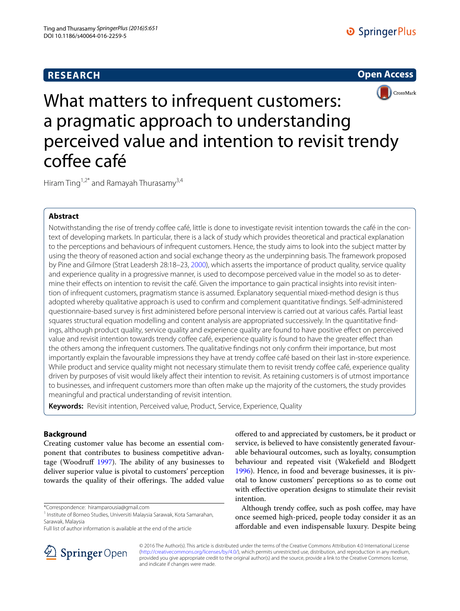# **RESEARCH**





What matters to infrequent customers: a pragmatic approach to understanding perceived value and intention to revisit trendy coffee café

Hiram Ting<sup>1,2\*</sup> and Ramayah Thurasamy<sup>3,4</sup>

# **Abstract**

Notwithstanding the rise of trendy coffee café, little is done to investigate revisit intention towards the café in the context of developing markets. In particular, there is a lack of study which provides theoretical and practical explanation to the perceptions and behaviours of infrequent customers. Hence, the study aims to look into the subject matter by using the theory of reasoned action and social exchange theory as the underpinning basis. The framework proposed by Pine and Gilmore (Strat Leadersh 28:18–23, [2000\)](#page-9-0), which asserts the importance of product quality, service quality and experience quality in a progressive manner, is used to decompose perceived value in the model so as to determine their effects on intention to revisit the café. Given the importance to gain practical insights into revisit intention of infrequent customers, pragmatism stance is assumed. Explanatory sequential mixed-method design is thus adopted whereby qualitative approach is used to confirm and complement quantitative findings. Self-administered questionnaire-based survey is first administered before personal interview is carried out at various cafés. Partial least squares structural equation modelling and content analysis are appropriated successively. In the quantitative findings, although product quality, service quality and experience quality are found to have positive effect on perceived value and revisit intention towards trendy coffee café, experience quality is found to have the greater effect than the others among the infrequent customers. The qualitative findings not only confirm their importance, but most importantly explain the favourable impressions they have at trendy coffee café based on their last in-store experience. While product and service quality might not necessary stimulate them to revisit trendy coffee café, experience quality driven by purposes of visit would likely affect their intention to revisit. As retaining customers is of utmost importance to businesses, and infrequent customers more than often make up the majority of the customers, the study provides meaningful and practical understanding of revisit intention.

**Keywords:** Revisit intention, Perceived value, Product, Service, Experience, Quality

# **Background**

Creating customer value has become an essential component that contributes to business competitive advantage (Woodruff [1997](#page-10-0)). The ability of any businesses to deliver superior value is pivotal to customers' perception towards the quality of their offerings. The added value

\*Correspondence: hiramparousia@gmail.com



Although trendy coffee, such as posh coffee, may have once seemed high-priced, people today consider it as an affordable and even indispensable luxury. Despite being



© 2016 The Author(s). This article is distributed under the terms of the Creative Commons Attribution 4.0 International License [\(http://creativecommons.org/licenses/by/4.0/\)](http://creativecommons.org/licenses/by/4.0/), which permits unrestricted use, distribution, and reproduction in any medium, provided you give appropriate credit to the original author(s) and the source, provide a link to the Creative Commons license, and indicate if changes were made.

<sup>&</sup>lt;sup>1</sup> Institute of Borneo Studies, Universiti Malaysia Sarawak, Kota Samarahan, Sarawak, Malaysia

Full list of author information is available at the end of the article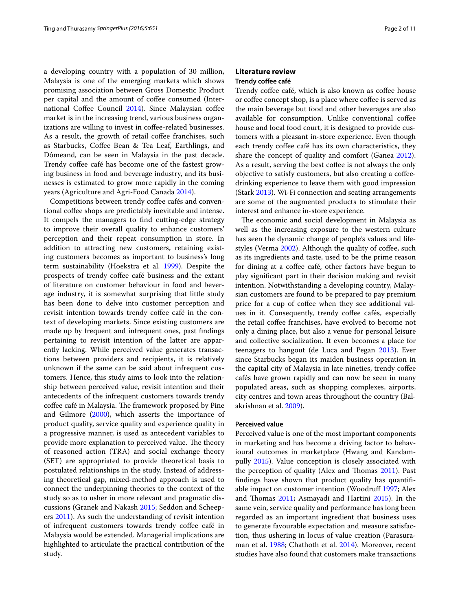a developing country with a population of 30 million, Malaysia is one of the emerging markets which shows promising association between Gross Domestic Product per capital and the amount of coffee consumed (International Coffee Council [2014](#page-9-1)). Since Malaysian coffee market is in the increasing trend, various business organizations are willing to invest in coffee-related businesses. As a result, the growth of retail coffee franchises, such as Starbucks, Coffee Bean & Tea Leaf, Earthlings, and Dômeand, can be seen in Malaysia in the past decade. Trendy coffee café has become one of the fastest growing business in food and beverage industry, and its businesses is estimated to grow more rapidly in the coming years (Agriculture and Agri-Food Canada [2014](#page-8-0)).

Competitions between trendy coffee cafés and conventional coffee shops are predictably inevitable and intense. It compels the managers to find cutting-edge strategy to improve their overall quality to enhance customers' perception and their repeat consumption in store. In addition to attracting new customers, retaining existing customers becomes as important to business's long term sustainability (Hoekstra et al. [1999](#page-9-2)). Despite the prospects of trendy coffee café business and the extant of literature on customer behaviour in food and beverage industry, it is somewhat surprising that little study has been done to delve into customer perception and revisit intention towards trendy coffee café in the context of developing markets. Since existing customers are made up by frequent and infrequent ones, past findings pertaining to revisit intention of the latter are apparently lacking. While perceived value generates transactions between providers and recipients, it is relatively unknown if the same can be said about infrequent customers. Hence, this study aims to look into the relationship between perceived value, revisit intention and their antecedents of the infrequent customers towards trendy coffee café in Malaysia. The framework proposed by Pine and Gilmore [\(2000\)](#page-9-3), which asserts the importance of product quality, service quality and experience quality in a progressive manner, is used as antecedent variables to provide more explanation to perceived value. The theory of reasoned action (TRA) and social exchange theory (SET) are appropriated to provide theoretical basis to postulated relationships in the study. Instead of addressing theoretical gap, mixed-method approach is used to connect the underpinning theories to the context of the study so as to usher in more relevant and pragmatic discussions (Granek and Nakash [2015](#page-9-4); Seddon and Scheepers [2011](#page-10-2)). As such the understanding of revisit intention of infrequent customers towards trendy coffee café in Malaysia would be extended. Managerial implications are highlighted to articulate the practical contribution of the study.

## **Literature review Trendy coffee café**

Trendy coffee café, which is also known as coffee house or coffee concept shop, is a place where coffee is served as the main beverage but food and other beverages are also available for consumption. Unlike conventional coffee house and local food court, it is designed to provide customers with a pleasant in-store experience. Even though each trendy coffee café has its own characteristics, they share the concept of quality and comfort (Ganea [2012](#page-9-5)). As a result, serving the best coffee is not always the only objective to satisfy customers, but also creating a coffeedrinking experience to leave them with good impression (Stark [2013](#page-10-3)). Wi-Fi connection and seating arrangements are some of the augmented products to stimulate their interest and enhance in-store experience.

The economic and social development in Malaysia as well as the increasing exposure to the western culture has seen the dynamic change of people's values and lifestyles (Verma [2002](#page-10-4)). Although the quality of coffee, such as its ingredients and taste, used to be the prime reason for dining at a coffee café, other factors have begun to play significant part in their decision making and revisit intention. Notwithstanding a developing country, Malaysian customers are found to be prepared to pay premium price for a cup of coffee when they see additional values in it. Consequently, trendy coffee cafés, especially the retail coffee franchises, have evolved to become not only a dining place, but also a venue for personal leisure and collective socialization. It even becomes a place for teenagers to hangout (de Luca and Pegan [2013](#page-9-6)). Ever since Starbucks began its maiden business operation in the capital city of Malaysia in late nineties, trendy coffee cafés have grown rapidly and can now be seen in many populated areas, such as shopping complexes, airports, city centres and town areas throughout the country (Balakrishnan et al. [2009\)](#page-8-1).

## **Perceived value**

Perceived value is one of the most important components in marketing and has become a driving factor to behavioural outcomes in marketplace (Hwang and Kandampully [2015](#page-9-7)). Value conception is closely associated with the perception of quality (Alex and Thomas [2011](#page-8-2)). Past findings have shown that product quality has quantifiable impact on customer intention (Woodruff [1997](#page-10-0); Alex and Thomas [2011](#page-8-2); Asmayadi and Hartini [2015](#page-8-3)). In the same vein, service quality and performance has long been regarded as an important ingredient that business uses to generate favourable expectation and measure satisfaction, thus ushering in locus of value creation (Parasuraman et al. [1988;](#page-9-8) Chathoth et al. [2014](#page-8-4)). Moreover, recent studies have also found that customers make transactions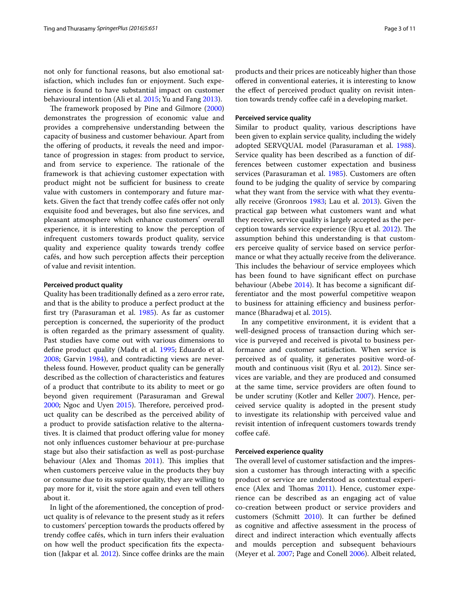not only for functional reasons, but also emotional satisfaction, which includes fun or enjoyment. Such experience is found to have substantial impact on customer behavioural intention (Ali et al. [2015;](#page-8-5) Yu and Fang [2013](#page-10-5)).

The framework proposed by Pine and Gilmore ([2000](#page-9-3)) demonstrates the progression of economic value and provides a comprehensive understanding between the capacity of business and customer behaviour. Apart from the offering of products, it reveals the need and importance of progression in stages: from product to service, and from service to experience. The rationale of the framework is that achieving customer expectation with product might not be sufficient for business to create value with customers in contemporary and future markets. Given the fact that trendy coffee cafés offer not only exquisite food and beverages, but also fine services, and pleasant atmosphere which enhance customers' overall experience, it is interesting to know the perception of infrequent customers towards product quality, service quality and experience quality towards trendy coffee cafés, and how such perception affects their perception of value and revisit intention.

### **Perceived product quality**

Quality has been traditionally defined as a zero error rate, and that is the ability to produce a perfect product at the first try (Parasuraman et al. [1985](#page-9-9)). As far as customer perception is concerned, the superiority of the product is often regarded as the primary assessment of quality. Past studies have come out with various dimensions to define product quality (Madu et al. [1995](#page-9-10); Eduardo et al. [2008](#page-9-11); Garvin [1984\)](#page-9-12), and contradicting views are nevertheless found. However, product quality can be generally described as the collection of characteristics and features of a product that contribute to its ability to meet or go beyond given requirement (Parasuraman and Grewal [2000](#page-9-13); Ngoc and Uyen [2015](#page-9-14)). Therefore, perceived product quality can be described as the perceived ability of a product to provide satisfaction relative to the alternatives. It is claimed that product offering value for money not only influences customer behaviour at pre-purchase stage but also their satisfaction as well as post-purchase behaviour (Alex and Thomas [2011\)](#page-8-2). This implies that when customers perceive value in the products they buy or consume due to its superior quality, they are willing to pay more for it, visit the store again and even tell others about it.

In light of the aforementioned, the conception of product quality is of relevance to the present study as it refers to customers' perception towards the products offered by trendy coffee cafés, which in turn infers their evaluation on how well the product specification fits the expectation (Jakpar et al. [2012](#page-9-15)). Since coffee drinks are the main products and their prices are noticeably higher than those offered in conventional eateries, it is interesting to know the effect of perceived product quality on revisit intention towards trendy coffee café in a developing market.

#### **Perceived service quality**

Similar to product quality, various descriptions have been given to explain service quality, including the widely adopted SERVQUAL model (Parasuraman et al. [1988](#page-9-8)). Service quality has been described as a function of differences between customer expectation and business services (Parasuraman et al. [1985\)](#page-9-9). Customers are often found to be judging the quality of service by comparing what they want from the service with what they eventually receive (Gronroos [1983](#page-9-16); Lau et al. [2013\)](#page-9-17). Given the practical gap between what customers want and what they receive, service quality is largely accepted as the perception towards service experience (Ryu et al. [2012](#page-9-18)). The assumption behind this understanding is that customers perceive quality of service based on service performance or what they actually receive from the deliverance. This includes the behaviour of service employees which has been found to have significant effect on purchase behaviour (Abebe [2014\)](#page-8-6). It has become a significant differentiator and the most powerful competitive weapon to business for attaining efficiency and business performance (Bharadwaj et al. [2015\)](#page-8-7).

In any competitive environment, it is evident that a well-designed process of transaction during which service is purveyed and received is pivotal to business performance and customer satisfaction. When service is perceived as of quality, it generates positive word-ofmouth and continuous visit (Ryu et al. [2012](#page-9-18)). Since services are variable, and they are produced and consumed at the same time, service providers are often found to be under scrutiny (Kotler and Keller [2007\)](#page-9-19). Hence, perceived service quality is adopted in the present study to investigate its relationship with perceived value and revisit intention of infrequent customers towards trendy coffee café.

### **Perceived experience quality**

The overall level of customer satisfaction and the impression a customer has through interacting with a specific product or service are understood as contextual experience (Alex and Thomas [2011\)](#page-8-2). Hence, customer experience can be described as an engaging act of value co-creation between product or service providers and customers (Schmitt [2010\)](#page-10-6). It can further be defined as cognitive and affective assessment in the process of direct and indirect interaction which eventually affects and moulds perception and subsequent behaviours (Meyer et al. [2007;](#page-9-20) Page and Conell [2006](#page-9-21)). Albeit related,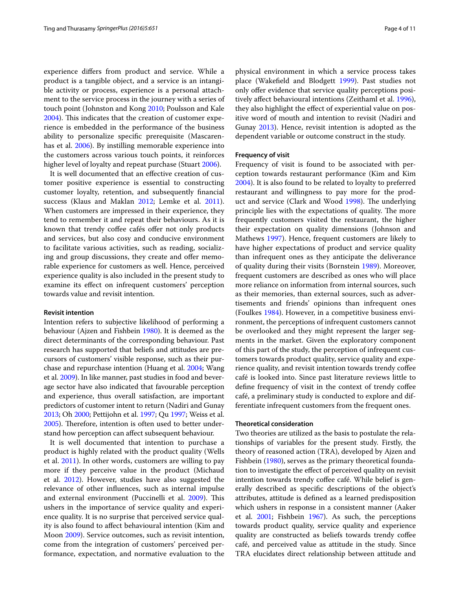experience differs from product and service. While a product is a tangible object, and a service is an intangible activity or process, experience is a personal attachment to the service process in the journey with a series of touch point (Johnston and Kong [2010](#page-9-22); Poulsson and Kale [2004](#page-9-23)). This indicates that the creation of customer experience is embedded in the performance of the business ability to personalize specific prerequisite (Mascarenhas et al. [2006\)](#page-9-24). By instilling memorable experience into the customers across various touch points, it reinforces higher level of loyalty and repeat purchase (Stuart [2006](#page-10-7)).

It is well documented that an effective creation of customer positive experience is essential to constructing customer loyalty, retention, and subsequently financial success (Klaus and Maklan [2012;](#page-9-25) Lemke et al. [2011](#page-9-26)). When customers are impressed in their experience, they tend to remember it and repeat their behaviours. As it is known that trendy coffee cafés offer not only products and services, but also cosy and conducive environment to facilitate various activities, such as reading, socializing and group discussions, they create and offer memorable experience for customers as well. Hence, perceived experience quality is also included in the present study to examine its effect on infrequent customers' perception towards value and revisit intention.

#### **Revisit intention**

Intention refers to subjective likelihood of performing a behaviour (Ajzen and Fishbein [1980](#page-8-8)). It is deemed as the direct determinants of the corresponding behaviour. Past research has supported that beliefs and attitudes are precursors of customers' visible response, such as their purchase and repurchase intention (Huang et al. [2004;](#page-9-27) Wang et al. [2009](#page-10-8)). In like manner, past studies in food and beverage sector have also indicated that favourable perception and experience, thus overall satisfaction, are important predictors of customer intent to return (Nadiri and Gunay [2013](#page-9-28); Oh [2000;](#page-9-29) Pettijohn et al. [1997;](#page-9-30) Qu [1997](#page-9-31); Weiss et al. [2005](#page-10-9)). Therefore, intention is often used to better understand how perception can affect subsequent behaviour.

It is well documented that intention to purchase a product is highly related with the product quality (Wells et al. [2011](#page-10-10)). In other words, customers are willing to pay more if they perceive value in the product (Michaud et al. [2012\)](#page-9-32). However, studies have also suggested the relevance of other influences, such as internal impulse and external environment (Puccinelli et al. [2009](#page-9-0)). This ushers in the importance of service quality and experience quality. It is no surprise that perceived service quality is also found to affect behavioural intention (Kim and Moon [2009](#page-9-33)). Service outcomes, such as revisit intention, come from the integration of customers' perceived performance, expectation, and normative evaluation to the

physical environment in which a service process takes place (Wakefield and Blodgett [1999](#page-10-11)). Past studies not only offer evidence that service quality perceptions positively affect behavioural intentions (Zeithaml et al. [1996](#page-10-12)), they also highlight the effect of experiential value on positive word of mouth and intention to revisit (Nadiri and Gunay [2013\)](#page-9-28). Hence, revisit intention is adopted as the dependent variable or outcome construct in the study.

### **Frequency of visit**

Frequency of visit is found to be associated with perception towards restaurant performance (Kim and Kim [2004](#page-9-34)). It is also found to be related to loyalty to preferred restaurant and willingness to pay more for the product and service (Clark and Wood [1998\)](#page-9-35). The underlying principle lies with the expectations of quality. The more frequently customers visited the restaurant, the higher their expectation on quality dimensions (Johnson and Mathews [1997](#page-9-36)). Hence, frequent customers are likely to have higher expectations of product and service quality than infrequent ones as they anticipate the deliverance of quality during their visits (Bornstein [1989](#page-8-9)). Moreover, frequent customers are described as ones who will place more reliance on information from internal sources, such as their memories, than external sources, such as advertisements and friends' opinions than infrequent ones (Foulkes [1984\)](#page-9-37). However, in a competitive business environment, the perceptions of infrequent customers cannot be overlooked and they might represent the larger segments in the market. Given the exploratory component of this part of the study, the perception of infrequent customers towards product quality, service quality and experience quality, and revisit intention towards trendy coffee café is looked into. Since past literature reviews little to define frequency of visit in the context of trendy coffee café, a preliminary study is conducted to explore and differentiate infrequent customers from the frequent ones.

### **Theoretical consideration**

Two theories are utilized as the basis to postulate the relationships of variables for the present study. Firstly, the theory of reasoned action (TRA), developed by Ajzen and Fishbein ([1980](#page-8-8)), serves as the primary theoretical foundation to investigate the effect of perceived quality on revisit intention towards trendy coffee café. While belief is generally described as specific descriptions of the object's attributes, attitude is defined as a learned predisposition which ushers in response in a consistent manner (Aaker et al. [2001](#page-8-10); Fishbein [1967](#page-9-38)). As such, the perceptions towards product quality, service quality and experience quality are constructed as beliefs towards trendy coffee café, and perceived value as attitude in the study. Since TRA elucidates direct relationship between attitude and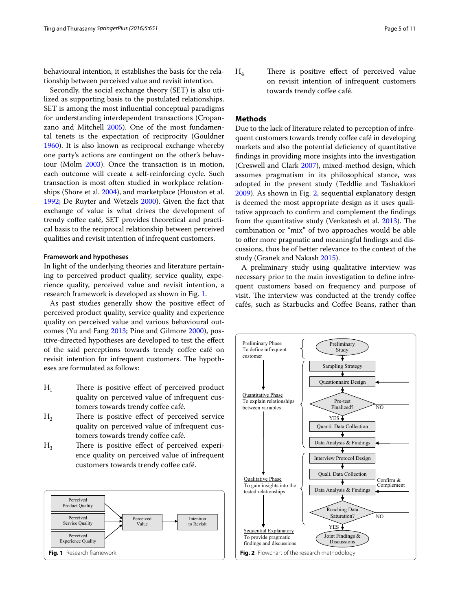behavioural intention, it establishes the basis for the relationship between perceived value and revisit intention.

Secondly, the social exchange theory (SET) is also utilized as supporting basis to the postulated relationships. SET is among the most influential conceptual paradigms for understanding interdependent transactions (Cropanzano and Mitchell [2005\)](#page-9-39). One of the most fundamental tenets is the expectation of reciprocity (Gouldner [1960](#page-9-40)). It is also known as reciprocal exchange whereby one party's actions are contingent on the other's behaviour (Molm [2003](#page-9-41)). Once the transaction is in motion, each outcome will create a self-reinforcing cycle. Such transaction is most often studied in workplace relationships (Shore et al. [2004](#page-10-13)), and marketplace (Houston et al. [1992](#page-9-42); De Ruyter and Wetzels [2000](#page-9-43)). Given the fact that exchange of value is what drives the development of trendy coffee café, SET provides theoretical and practical basis to the reciprocal relationship between perceived qualities and revisit intention of infrequent customers.

### **Framework and hypotheses**

In light of the underlying theories and literature pertaining to perceived product quality, service quality, experience quality, perceived value and revisit intention, a research framework is developed as shown in Fig. [1.](#page-4-0)

As past studies generally show the positive effect of perceived product quality, service quality and experience quality on perceived value and various behavioural outcomes (Yu and Fang [2013](#page-10-5); Pine and Gilmore [2000](#page-9-3)), positive-directed hypotheses are developed to test the effect of the said perceptions towards trendy coffee café on revisit intention for infrequent customers. The hypotheses are formulated as follows:

- $H<sub>1</sub>$  There is positive effect of perceived product quality on perceived value of infrequent customers towards trendy coffee café.
- H<sub>2</sub> There is positive effect of perceived service quality on perceived value of infrequent customers towards trendy coffee café.
- $H<sub>3</sub>$  There is positive effect of perceived experience quality on perceived value of infrequent customers towards trendy coffee café.

<span id="page-4-1"></span><span id="page-4-0"></span>

 $H_4$  There is positive effect of perceived value on revisit intention of infrequent customers towards trendy coffee café.

## **Methods**

Due to the lack of literature related to perception of infrequent customers towards trendy coffee café in developing markets and also the potential deficiency of quantitative findings in providing more insights into the investigation (Creswell and Clark [2007\)](#page-9-44), mixed-method design, which assumes pragmatism in its philosophical stance, was adopted in the present study (Teddlie and Tashakkori [2009](#page-10-14)). As shown in Fig. [2,](#page-4-1) sequential explanatory design is deemed the most appropriate design as it uses qualitative approach to confirm and complement the findings from the quantitative study (Venkatesh et al. [2013](#page-10-15)). The combination or "mix" of two approaches would be able to offer more pragmatic and meaningful findings and discussions, thus be of better relevance to the context of the study (Granek and Nakash [2015\)](#page-9-4).

A preliminary study using qualitative interview was necessary prior to the main investigation to define infrequent customers based on frequency and purpose of visit. The interview was conducted at the trendy coffee cafés, such as Starbucks and Coffee Beans, rather than

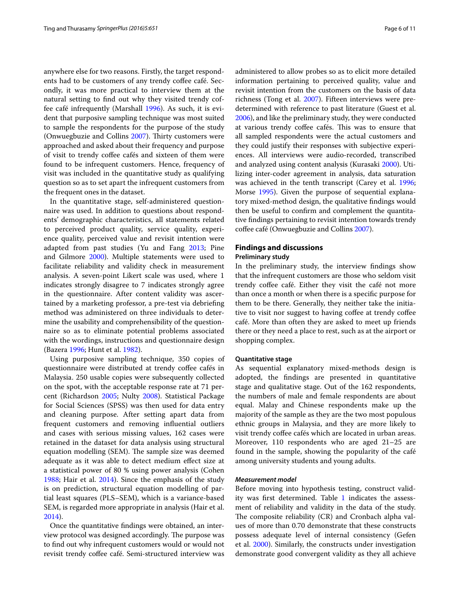anywhere else for two reasons. Firstly, the target respondents had to be customers of any trendy coffee café. Secondly, it was more practical to interview them at the natural setting to find out why they visited trendy coffee café infrequently (Marshall [1996\)](#page-9-45). As such, it is evident that purposive sampling technique was most suited to sample the respondents for the purpose of the study (Onwuegbuzie and Collins [2007](#page-9-46)). Thirty customers were approached and asked about their frequency and purpose of visit to trendy coffee cafés and sixteen of them were found to be infrequent customers. Hence, frequency of visit was included in the quantitative study as qualifying question so as to set apart the infrequent customers from the frequent ones in the dataset.

In the quantitative stage, self-administered questionnaire was used. In addition to questions about respondents' demographic characteristics, all statements related to perceived product quality, service quality, experience quality, perceived value and revisit intention were adapted from past studies (Yu and Fang [2013](#page-10-5); Pine and Gilmore [2000](#page-9-3)). Multiple statements were used to facilitate reliability and validity check in measurement analysis. A seven-point Likert scale was used, where 1 indicates strongly disagree to 7 indicates strongly agree in the questionnaire. After content validity was ascertained by a marketing professor, a pre-test via debriefing method was administered on three individuals to determine the usability and comprehensibility of the questionnaire so as to eliminate potential problems associated with the wordings, instructions and questionnaire design (Bazera [1996](#page-8-11); Hunt et al. [1982\)](#page-9-47).

Using purposive sampling technique, 350 copies of questionnaire were distributed at trendy coffee cafés in Malaysia. 250 usable copies were subsequently collected on the spot, with the acceptable response rate at 71 percent (Richardson [2005](#page-9-48); Nulty [2008](#page-9-49)). Statistical Package for Social Sciences (SPSS) was then used for data entry and cleaning purpose. After setting apart data from frequent customers and removing influential outliers and cases with serious missing values, 162 cases were retained in the dataset for data analysis using structural equation modelling (SEM). The sample size was deemed adequate as it was able to detect medium effect size at a statistical power of 80 % using power analysis (Cohen [1988](#page-9-50); Hair et al. [2014\)](#page-9-51). Since the emphasis of the study is on prediction, structural equation modelling of partial least squares (PLS–SEM), which is a variance-based SEM, is regarded more appropriate in analysis (Hair et al. [2014](#page-9-51)).

Once the quantitative findings were obtained, an interview protocol was designed accordingly. The purpose was to find out why infrequent customers would or would not revisit trendy coffee café. Semi-structured interview was administered to allow probes so as to elicit more detailed information pertaining to perceived quality, value and revisit intention from the customers on the basis of data richness (Tong et al. [2007\)](#page-10-16). Fifteen interviews were predetermined with reference to past literature (Guest et al. [2006](#page-9-52)), and like the preliminary study, they were conducted at various trendy coffee cafés. This was to ensure that all sampled respondents were the actual customers and they could justify their responses with subjective experiences. All interviews were audio-recorded, transcribed and analyzed using content analysis (Kurasaki [2000](#page-9-53)). Utilizing inter-coder agreement in analysis, data saturation was achieved in the tenth transcript (Carey et al. [1996](#page-8-12); Morse [1995](#page-9-54)). Given the purpose of sequential explanatory mixed-method design, the qualitative findings would then be useful to confirm and complement the quantitative findings pertaining to revisit intention towards trendy coffee café (Onwuegbuzie and Collins [2007\)](#page-9-46).

## **Findings and discussions**

## **Preliminary study**

In the preliminary study, the interview findings show that the infrequent customers are those who seldom visit trendy coffee café. Either they visit the café not more than once a month or when there is a specific purpose for them to be there. Generally, they neither take the initiative to visit nor suggest to having coffee at trendy coffee café. More than often they are asked to meet up friends there or they need a place to rest, such as at the airport or shopping complex.

### **Quantitative stage**

As sequential explanatory mixed-methods design is adopted, the findings are presented in quantitative stage and qualitative stage. Out of the 162 respondents, the numbers of male and female respondents are about equal. Malay and Chinese respondents make up the majority of the sample as they are the two most populous ethnic groups in Malaysia, and they are more likely to visit trendy coffee cafés which are located in urban areas. Moreover, 110 respondents who are aged 21–25 are found in the sample, showing the popularity of the café among university students and young adults.

## *Measurement model*

Before moving into hypothesis testing, construct valid-ity was first determined. Table [1](#page-6-0) indicates the assessment of reliability and validity in the data of the study. The composite reliability (CR) and Cronbach alpha values of more than 0.70 demonstrate that these constructs possess adequate level of internal consistency (Gefen et al. [2000](#page-9-55)). Similarly, the constructs under investigation demonstrate good convergent validity as they all achieve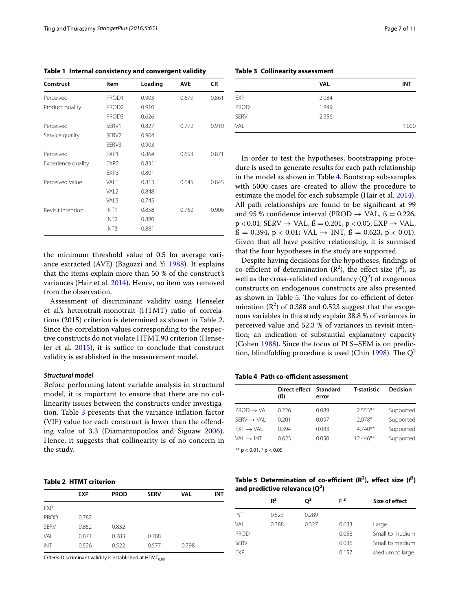<span id="page-6-0"></span>**Table 1 Internal consistency and convergent validity**

| Construct          | Item              | Loading | <b>AVE</b> | <b>CR</b> |
|--------------------|-------------------|---------|------------|-----------|
| Perceived          | PROD1             | 0.903   | 0.679      | 0.861     |
| Product quality    | PROD <sub>2</sub> | 0.910   |            |           |
|                    | PROD3             | 0.626   |            |           |
| Perceived          | SFRV1             | 0.827   | 0.772      | 0.910     |
| Service quality    | SFRV <sub>2</sub> | 0.904   |            |           |
|                    | SFRV3             | 0.903   |            |           |
| Perceived          | EXP1              | 0.864   | 0.693      | 0.871     |
| Experience quality | EXP <sub>2</sub>  | 0.831   |            |           |
|                    | FXP3              | 0.801   |            |           |
| Perceived value    | VAL1              | 0.813   | 0.645      | 0.845     |
|                    | VAL <sub>2</sub>  | 0.848   |            |           |
|                    | VAL3              | 0.745   |            |           |
| Revisit intention  | INT <sub>1</sub>  | 0.858   | 0.762      | 0.906     |
|                    | INT <sub>2</sub>  | 0.880   |            |           |
|                    | INT <sub>3</sub>  | 0.881   |            |           |

the minimum threshold value of 0.5 for average variance extracted (AVE) (Bagozzi and Yi [1988](#page-8-13)). It explains that the items explain more than 50 % of the construct's variances (Hair et al. [2014](#page-9-51)). Hence, no item was removed from the observation.

Assessment of discriminant validity using Henseler et al.'s heterotrait-monotrait (HTMT) ratio of correlations (2015) criterion is determined as shown in Table [2](#page-6-1). Since the correlation values corresponding to the respective constructs do not violate HTMT.90 criterion (Hense-ler et al. [2015\)](#page-9-56), it is suffice to conclude that construct validity is established in the measurement model.

### *Structural model*

Before performing latent variable analysis in structural model, it is important to ensure that there are no collinearity issues between the constructs under investigation. Table [3](#page-6-2) presents that the variance inflation factor (VIF) value for each construct is lower than the offending value of 3.3 (Diamantopoulos and Siguaw [2006](#page-9-57)). Hence, it suggests that collinearity is of no concern in the study.

## <span id="page-6-1"></span>**Table 2 HTMT criterion**

|             | <b>EXP</b> | <b>PROD</b> | <b>SERV</b> | <b>VAL</b> | INT |
|-------------|------------|-------------|-------------|------------|-----|
| <b>EXP</b>  |            |             |             |            |     |
| PROD        | 0.782      |             |             |            |     |
| <b>SERV</b> | 0.852      | 0.832       |             |            |     |
| VAL         | 0.871      | 0.783       | 0.788       |            |     |
| INT         | 0.526      | 0.522       | 0.577       | 0.798      |     |
|             |            |             |             |            |     |

*Criteria* Discriminant validity is established at HTMT<sub>0.90</sub>

<span id="page-6-2"></span>

|             | <b>VAL</b> | <b>INT</b> |
|-------------|------------|------------|
| EXP         | 2.084      |            |
| PROD        | 1.849      |            |
| <b>SERV</b> | 2.356      |            |
| VAL         |            | 1.000      |

In order to test the hypotheses, bootstrapping procedure is used to generate results for each path relationship in the model as shown in Table [4](#page-6-3). Bootstrap sub-samples with 5000 cases are created to allow the procedure to estimate the model for each subsample (Hair et al. [2014](#page-9-51)). All path relationships are found to be significant at 99 and 95 % confidence interval (PROD  $\rightarrow$  VAL, ß = 0.226,  $p < 0.01$ ; SERV  $\rightarrow$  VAL,  $\beta = 0.201$ ,  $p < 0.05$ ; EXP  $\rightarrow$  VAL,  $\beta = 0.394$ , p < 0.01; VAL  $\rightarrow$  INT,  $\beta = 0.623$ , p < 0.01). Given that all have positive relationship, it is surmised that the four hypotheses in the study are supported.

Despite having decisions for the hypotheses, findings of co-efficient of determination  $(R^2)$ , the effect size  $(f^2)$ , as well as the cross-validated redundancy  $(Q^2)$  of exogenous constructs on endogenous constructs are also presented as shown in Table [5](#page-6-4). The values for co-efficient of determination  $(R^2)$  of 0.388 and 0.523 suggest that the exogenous variables in this study explain 38.8 % of variances in perceived value and 52.3 % of variances in revisit intention; an indication of substantial explanatory capacity (Cohen [1988\)](#page-9-50). Since the focus of PLS–SEM is on prediction, blindfolding procedure is used (Chin  $1998$ ). The  $Q^2$ 

### <span id="page-6-3"></span>**Table 4 Path co-efficient assessment**

|                        | Direct effect Standard<br>$(\beta)$ | error | <b>T-statistic</b> | <b>Decision</b> |
|------------------------|-------------------------------------|-------|--------------------|-----------------|
| $PROD \rightarrow VAI$ | 0.226                               | 0.089 | $2.553**$          | Supported       |
| $SFRV \rightarrow VAI$ | 0.201                               | 0.097 | $2.078*$           | Supported       |
| $FXP \rightarrow VAI$  | 0.394                               | 0.083 | $4.740**$          | Supported       |
| $VAL \rightarrow INT$  | 0.623                               | 0.050 | $12.446**$         | Supported       |
|                        |                                     |       |                    |                 |

\*\*  $p < 0.01$ , \*  $p < 0.05$ 

<span id="page-6-4"></span>

| Table 5 Determination of co-efficient $(R^2)$ , effect size $(f^2)$ |  |  |  |
|---------------------------------------------------------------------|--|--|--|
| and predictive relevance $(Q^2)$                                    |  |  |  |

|             | $R^2$ | O <sup>2</sup> | F <sup>2</sup> | Size of effect  |
|-------------|-------|----------------|----------------|-----------------|
| INT         | 0.523 | 0.289          |                |                 |
| VAL         | 0.388 | 0.327          | 0.633          | Large           |
| PROD        |       |                | 0.058          | Small to medium |
| <b>SFRV</b> |       |                | 0.036          | Small to medium |
| <b>FXP</b>  |       |                | 0.157          | Medium to large |
|             |       |                |                |                 |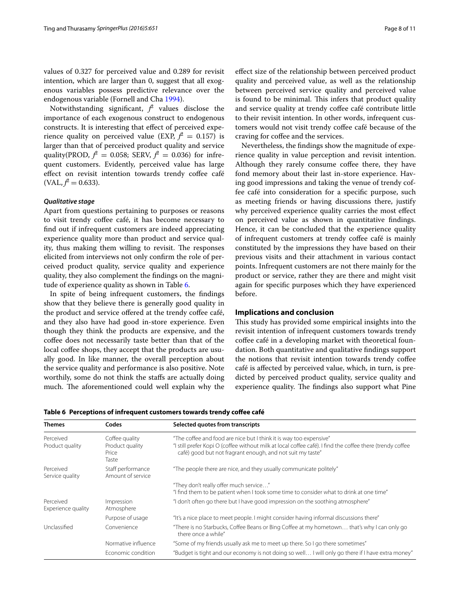values of 0.327 for perceived value and 0.289 for revisit intention, which are larger than 0, suggest that all exogenous variables possess predictive relevance over the endogenous variable (Fornell and Cha [1994](#page-9-58)).

Notwithstanding significant,  $f^2$  values disclose the importance of each exogenous construct to endogenous constructs. It is interesting that effect of perceived experience quality on perceived value (EXP,  $f^2 = 0.157$ ) is larger than that of perceived product quality and service quality(PROD,  $f^2 = 0.058$ ; SERV,  $f^2 = 0.036$ ) for infrequent customers. Evidently, perceived value has large effect on revisit intention towards trendy coffee café  $(VAL, f^2 = 0.633).$ 

# *Qualitative stage*

Apart from questions pertaining to purposes or reasons to visit trendy coffee café, it has become necessary to find out if infrequent customers are indeed appreciating experience quality more than product and service quality, thus making them willing to revisit. The responses elicited from interviews not only confirm the role of perceived product quality, service quality and experience quality, they also complement the findings on the magnitude of experience quality as shown in Table [6.](#page-7-0)

In spite of being infrequent customers, the findings show that they believe there is generally good quality in the product and service offered at the trendy coffee café, and they also have had good in-store experience. Even though they think the products are expensive, and the coffee does not necessarily taste better than that of the local coffee shops, they accept that the products are usually good. In like manner, the overall perception about the service quality and performance is also positive. Note worthily, some do not think the staffs are actually doing much. The aforementioned could well explain why the effect size of the relationship between perceived product quality and perceived value, as well as the relationship between perceived service quality and perceived value is found to be minimal. This infers that product quality and service quality at trendy coffee café contribute little to their revisit intention. In other words, infrequent customers would not visit trendy coffee café because of the craving for coffee and the services.

Nevertheless, the findings show the magnitude of experience quality in value perception and revisit intention. Although they rarely consume coffee there, they have fond memory about their last in-store experience. Having good impressions and taking the venue of trendy coffee café into consideration for a specific purpose, such as meeting friends or having discussions there, justify why perceived experience quality carries the most effect on perceived value as shown in quantitative findings. Hence, it can be concluded that the experience quality of infrequent customers at trendy coffee café is mainly constituted by the impressions they have based on their previous visits and their attachment in various contact points. Infrequent customers are not there mainly for the product or service, rather they are there and might visit again for specific purposes which they have experienced before.

## **Implications and conclusion**

This study has provided some empirical insights into the revisit intention of infrequent customers towards trendy coffee café in a developing market with theoretical foundation. Both quantitative and qualitative findings support the notions that revisit intention towards trendy coffee café is affected by perceived value, which, in turn, is predicted by perceived product quality, service quality and experience quality. The findings also support what Pine

<span id="page-7-0"></span>**Table 6 Perceptions of infrequent customers towards trendy coffee café**

| <b>Themes</b>                   | Codes                                               | Selected quotes from transcripts                                                                                                                                                                                                              |
|---------------------------------|-----------------------------------------------------|-----------------------------------------------------------------------------------------------------------------------------------------------------------------------------------------------------------------------------------------------|
| Perceived<br>Product quality    | Coffee quality<br>Product quality<br>Price<br>Taste | "The coffee and food are nice but I think it is way too expensive"<br>"I still prefer Kopi O (coffee without milk at local coffee café). I find the coffee there (trendy coffee<br>café) good but not fragrant enough, and not suit my taste" |
| Perceived<br>Service quality    | Staff performance<br>Amount of service              | "The people there are nice, and they usually communicate politely"                                                                                                                                                                            |
|                                 |                                                     | "They don't really offer much service"<br>"I find them to be patient when I took some time to consider what to drink at one time"                                                                                                             |
| Perceived<br>Experience quality | Impression<br>Atmosphere                            | "I don't often go there but I have good impression on the soothing atmosphere"                                                                                                                                                                |
|                                 | Purpose of usage                                    | "It's a nice place to meet people. I might consider having informal discussions there"                                                                                                                                                        |
| Unclassified                    | Convenience                                         | "There is no Starbucks, Coffee Beans or Bing Coffee at my hometown that's why I can only go<br>there once a while"                                                                                                                            |
|                                 | Normative influence                                 | "Some of my friends usually ask me to meet up there. So I go there sometimes"                                                                                                                                                                 |
|                                 | Economic condition                                  | "Budget is tight and our economy is not doing so well I will only go there if I have extra money"                                                                                                                                             |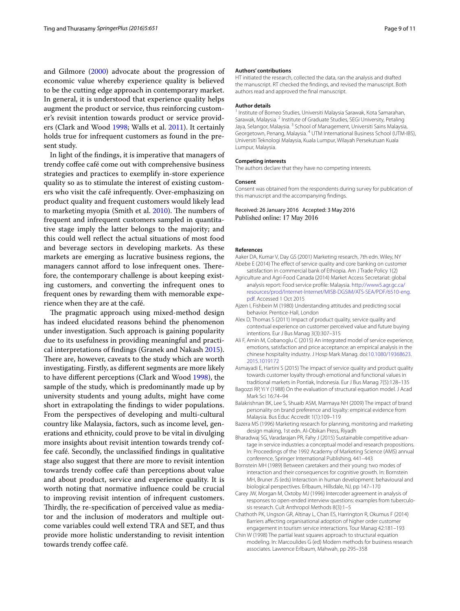and Gilmore ([2000](#page-9-3)) advocate about the progression of economic value whereby experience quality is believed to be the cutting edge approach in contemporary market. In general, it is understood that experience quality helps augment the product or service, thus reinforcing customer's revisit intention towards product or service providers (Clark and Wood [1998](#page-9-35); Walls et al. [2011\)](#page-10-17). It certainly holds true for infrequent customers as found in the present study.

In light of the findings, it is imperative that managers of trendy coffee café come out with comprehensive business strategies and practices to exemplify in-store experience quality so as to stimulate the interest of existing customers who visit the café infrequently. Over-emphasizing on product quality and frequent customers would likely lead to marketing myopia (Smith et al. [2010](#page-10-18)). The numbers of frequent and infrequent customers sampled in quantitative stage imply the latter belongs to the majority; and this could well reflect the actual situations of most food and beverage sectors in developing markets. As these markets are emerging as lucrative business regions, the managers cannot afford to lose infrequent ones. Therefore, the contemporary challenge is about keeping existing customers, and converting the infrequent ones to frequent ones by rewarding them with memorable experience when they are at the café.

The pragmatic approach using mixed-method design has indeed elucidated reasons behind the phenomenon under investigation. Such approach is gaining popularity due to its usefulness in providing meaningful and practical interpretations of findings (Granek and Nakash [2015](#page-9-4)). There are, however, caveats to the study which are worth investigating. Firstly, as different segments are more likely to have different perceptions (Clark and Wood [1998\)](#page-9-35), the sample of the study, which is predominantly made up by university students and young adults, might have come short in extrapolating the findings to wider populations. From the perspectives of developing and multi-cultural country like Malaysia, factors, such as income level, generations and ethnicity, could prove to be vital in divulging more insights about revisit intention towards trendy coffee café. Secondly, the unclassified findings in qualitative stage also suggest that there are more to revisit intention towards trendy coffee café than perceptions about value and about product, service and experience quality. It is worth noting that normative influence could be crucial to improving revisit intention of infrequent customers. Thirdly, the re-specification of perceived value as mediator and the inclusion of moderators and multiple outcome variables could well extend TRA and SET, and thus provide more holistic understanding to revisit intention towards trendy coffee café.

#### **Authors' contributions**

HT initiated the research, collected the data, ran the analysis and drafted the manuscript. RT checked the findings, and revised the manuscript. Both authors read and approved the final manuscript.

#### **Author details**

<sup>1</sup> Institute of Borneo Studies, Universiti Malaysia Sarawak, Kota Samarahan, Sarawak, Malaysia. <sup>2</sup> Institute of Graduate Studies, SEGi University, Petaling Jaya, Selangor, Malaysia.<sup>3</sup> School of Management, Universiti Sains Malaysia, Georgetown, Penang, Malaysia. 4 UTM International Business School (UTM-IBS), Universiti Teknologi Malaysia, Kuala Lumpur, Wilayah Persekutuan Kuala Lumpur, Malaysia.

#### **Competing interests**

The authors declare that they have no competing interests.

#### **Consent**

Consent was obtained from the respondents during survey for publication of this manuscript and the accompanying findings.

Received: 26 January 2016 Accepted: 3 May 2016 Published online: 17 May 2016

#### **References**

- <span id="page-8-10"></span><span id="page-8-6"></span>Aaker DA, Kumar V, Day GS (2001) Marketing research, 7th edn. Wiley, NY Abebe E (2014) The effect of service quality and core banking on customer satisfaction in commercial bank of Ethiopia. Am J Trade Policy 1(2)
- <span id="page-8-0"></span>Agriculture and Agri-Food Canada (2014) Market Access Secretariat: global analysis report: Food service profile: Malaysia. [http://www5.agr.gc.ca/](http://www5.agr.gc.ca/resources/prod/Internet-Internet/MISB-DGSIM/ATS-SEA/PDF/6510-eng.pdf) [resources/prod/Internet-Internet/MISB-DGSIM/ATS-SEA/PDF/6510-eng.](http://www5.agr.gc.ca/resources/prod/Internet-Internet/MISB-DGSIM/ATS-SEA/PDF/6510-eng.pdf) [pdf.](http://www5.agr.gc.ca/resources/prod/Internet-Internet/MISB-DGSIM/ATS-SEA/PDF/6510-eng.pdf) Accessed 1 Oct 2015
- <span id="page-8-8"></span>Ajzen I, Fishbein M (1980) Understanding attitudes and predicting social behavior. Prentice-Hall, London
- <span id="page-8-2"></span>Alex D, Thomas S (2011) Impact of product quality, service quality and contextual experience on customer perceived value and future buying intentions. Eur J Bus Manag 3(3):307–315
- <span id="page-8-5"></span>Ali F, Amin M, Cobanoglu C (2015) An integrated model of service experience, emotions, satisfaction and price acceptance: an empirical analysis in the chinese hospitality industry. J Hosp Mark Manag. doi:[10.1080/19368623.](http://dx.doi.org/10.1080/19368623.2015.1019172) [2015.1019172](http://dx.doi.org/10.1080/19368623.2015.1019172)
- <span id="page-8-3"></span>Asmayadi E, Hartini S (2015) The impact of service quality and product quality towards customer loyalty through emotional and functional values in traditional markets in Pontiak, Indonesia. Eur J Bus Manag 7(5):128–135
- <span id="page-8-13"></span>Bagozzi RP, Yi Y (1988) On the evaluation of structural equation model. J Acad Mark Sci 16:74–94
- <span id="page-8-1"></span>Balakrishnan BK, Lee S, Shuaib ASM, Marmaya NH (2009) The impact of brand personality on brand preference and loyalty: empirical evidence from Malaysia. Bus Educ Accredit 1(1):109–119
- <span id="page-8-11"></span>Bazera MS (1996) Marketing research for planning, monitoring and marketing design making, 1st edn. Al-Obikan Press, Riyadh
- <span id="page-8-7"></span>Bharadwaj SG, Varadarajan PR, Fahy J (2015) Sustainable competitive advantage in service industries: a conceptual model and research propositions. In: Proceedings of the 1992 Academy of Marketing Science (AMS) annual conference, Springer International Publishing, 441–443
- <span id="page-8-9"></span>Bornstein MH (1989) Between caretakers and their young: two modes of interaction and their consequences for cognitive growth. In: Bornstein MH, Bruner JS (eds) Interaction in human development: behavioural and biological perspectives. Erlbaum, Hillsdale, NJ, pp 147–170
- <span id="page-8-12"></span>Carey JW, Morgan M, Oxtoby MJ (1996) Intercoder agreement in analysis of responses to open-ended interview questions: examples from tuberculosis research. Cult Anthropol Methods 8(3):1–5
- <span id="page-8-4"></span>Chathoth PK, Ungson GR, Altinay L, Chan ES, Harrington R, Okumus F (2014) Barriers affecting organisational adoption of higher order customer engagement in tourism service interactions. Tour Manag 42:181–193
- <span id="page-8-14"></span>Chin W (1998) The partial least squares approach to structural equation modeling. In: Marcoulides G (ed) Modern methods for business research associates. Lawrence Erlbaum, Mahwah, pp 295–358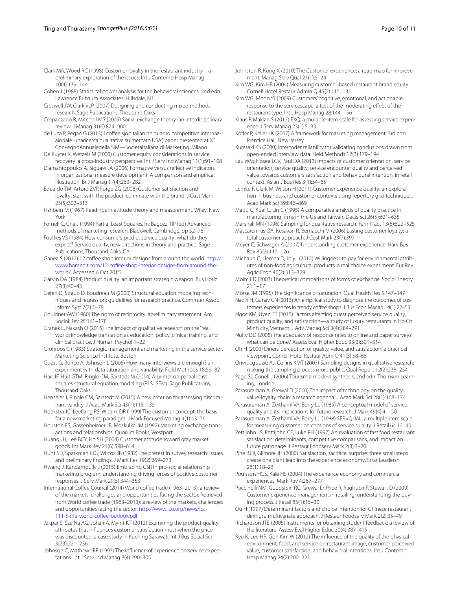- <span id="page-9-50"></span><span id="page-9-35"></span>Cohen J (1988) Statistical power analysis for the behavioral sciences, 2nd edn. Lawrence Erlbaum Associates, Hillsdale, NJ
- <span id="page-9-44"></span>Creswell JW, Clark VLP (2007) Designing and conducting mixed methods research. Sage Publications, Thousand Oaks
- <span id="page-9-39"></span>Cropanzano R, Mitchell MS (2005) Social exchange theory: an interdisciplinary review. J Manag 31(6):874–900
- <span id="page-9-6"></span>de Luca P, Pegan G (2013) I coffee sjopitalianinelquadro competitive internazaionale: unaricerca qualitative sulmercato USA", paper presented at X˚ ConvegnoAnnualedella SIM—SocietaItaliana di Marketing. Milano
- <span id="page-9-43"></span>De Ruyter K, Wetzels M (2000) Customer equity considerations in service recovery: a cross-industry perspective. Int J Serv Ind Manag 11(1):91–108
- <span id="page-9-57"></span>Diamantopoulos A, Siguaw JA (2006) Formative versus reflective indicators in organizational measure development. A comparison and empirical illustration. Br J Manag 17(4):263–282
- <span id="page-9-11"></span>Eduardo TM, Arturo ZVP, Forge ZG (2008) Customer satisfaction and loyalty: start with the product, culminate with the brand. J Cust Mark 25(5):302–313
- <span id="page-9-38"></span>Fishbein M (1967) Readings in attitude theory and measurement. Wiley, New York
- <span id="page-9-58"></span>Fornell C, Cha J (1994) Partial Least Squares. In: Bagozzi RP (ed) Advanced methods of marketing research. Blackwell, Cambridge, pp 52–78

<span id="page-9-37"></span>Foulkes VS (1984) How consumers predict service quality: what do they expect? Service quality, new directions in theory and practice. Sage Publications, Thousand Oaks, CA

- <span id="page-9-5"></span>Ganea S (2012) 12 coffee shop interior designs from around the world. [http://](http://www.homedit.com/12-coffee-shop-interior-designs-from-around-the-world/) [www.homedit.com/12-coffee-shop-interior-designs-from-around-the](http://www.homedit.com/12-coffee-shop-interior-designs-from-around-the-world/)[world/.](http://www.homedit.com/12-coffee-shop-interior-designs-from-around-the-world/) Accessed 6 Oct 2015
- <span id="page-9-12"></span>Garvin DA (1984) Product quality: an important strategic weapon. Bus Horiz 27(3):40–43
- <span id="page-9-55"></span>Gefen D, Straub D, Boudreau M (2000) Structural equation modeling techniques and regression: guidelines for research practice. Commun Assoc Inform Syst 7(7):1–78
- <span id="page-9-40"></span>Gouldner AW (1960) The norm of reciprocity: apreliminary statement. Am Sociol Rev 25:161–178
- <span id="page-9-4"></span>Granek L, Nakash O (2015) The impact of qualitative research on the "real world: knowledge translation as education, policy, clinical training, and clinical practice. J Human Psychol 1–22
- <span id="page-9-16"></span>Gronroos C (1983) Strategic management and marketing in the service sector. Marketing Science Institute, Boston
- <span id="page-9-52"></span>Guest G, Bunce A, Johnson L (2006) How many interviews are enough? an experiment with data saturation and variability. Field Methods 18:59–82
- <span id="page-9-51"></span>Hair JF, Hult GTM, Ringle CM, Sarstedt M (2014) A primer on partial least squares structural equation modeling (PLS–SEM). Sage Publications, Thousand Oaks
- <span id="page-9-56"></span>Henseler J, Ringle CM, Sarstedt M (2015) A new criterion for assessing discriminant validity. J Acad Mark Sci 43(1):115–135
- <span id="page-9-2"></span>Hoekstra JC, Leeflang PS, Wittink DR (1999) The customer concept: the basis for a new marketing paradigm. J Mark Focused Manag 4(1):43–76
- <span id="page-9-42"></span>Houston FS, Gassenheimer JB, Moskulka JM (1992) Marketing exchange transactions and relationships. Quorum Books, Westport
- <span id="page-9-27"></span>Huang JH, Lee BCY, Ho SH (2004) Customer attitude toward gray market goods. Int Mark Rev 21(6):598–614
- <span id="page-9-47"></span>Hunt SD, Sparkman RDJ, Wilcox JB (1982) The pretest in survey research: issues and preliminary findings. J Mark Res 19(2):269–273
- <span id="page-9-7"></span>Hwang J, Kandampully J (2015) Embracing CSR in pro-social relationship marketing program: understanding driving forces of positive customer responses. J Serv Mark 29(5):344–353
- <span id="page-9-1"></span>International Coffee Council (2014) World coffee trade (1963–2013): a review of the markets, challenges and opportunities facing the sector, Retrieved from World coffee trade (1963–2013): a review of the markets, challenges and opportunities facing the sector. [http://www.ico.org/news/icc-](http://www.ico.org/news/icc-111-5-r1e-world-coffee-outlook.pdf)[111-5-r1e-world-coffee-outlook.pdf](http://www.ico.org/news/icc-111-5-r1e-world-coffee-outlook.pdf)
- <span id="page-9-15"></span>Jakpar S, Sze Na AG, Johari A, Myint KT (2012) Examining the product quality attributes that influences customer satisfaction most when the price was discounted: a case study in Kuching Sarawak. Int J Bus Social Sci 3(23):221–236
- <span id="page-9-36"></span>Johnson C, Mathews BP (1997) The influence of experience on service expectations. Int J Serv Ind Manag 8(4):290–305
- <span id="page-9-22"></span>Johnston R, Kong X (2010) The Customer experience: a road-map for improvement. Manag Serv Qual 21(1):5–24
- <span id="page-9-34"></span>Kim WG, Kim HB (2004) Measuring customer-based restaurant brand equity. Cornell Hotel Restaur Admin Q 45(2):115–131
- <span id="page-9-33"></span>Kim WG, Moon YJ (2009) Customers' cognitive, emotional, and actionable response to the servicescape: a test of the moderating effect of the restaurant type. Int J Hosp Manag 28:144–156
- <span id="page-9-25"></span>Klaus P, Maklan S (2012) EXQ: a multiple-item scale for assessing service experience. J Serv Manag 23(1):5–33
- <span id="page-9-19"></span>Kotler P, Keller LK (2007) A framework for marketing management, 3rd edn. Prentice Hall, New Jersey
- <span id="page-9-53"></span>Kurasaki KS (2000) Intercoder reliability for validating conclusions drawn from open-ended interview data. Field Methods 12(3):179–194
- <span id="page-9-17"></span>Lau WM, Hosea LCV, Paul DA (2013) Impacts of customer orientation, service orientation, service quality, service encounter quality and perceived value towards customers satisfaction and behavioural intention. in retail context. Asian J Bus Res 3(1):54–65
- <span id="page-9-26"></span>Lemke F, Clark M, Wilson H (2011) Customer experience quality: an exploration in business and customer contexts using repertory grid technique. J Acad Mark Sci 39:846–869
- <span id="page-9-10"></span>Madu C, Kuei C, Lin C (1995) A comparative analysis of quality practice in manufacturing firms in the US and Taiwan. Decis Sci 26(5):621–635
- <span id="page-9-45"></span><span id="page-9-24"></span>Marshall MN (1996) Sampling for qualitative research. Fam Pract 13(6):522–525 Mascarenhas OA, Kesavan R, Bernacchi M (2006) Lasting customer loyalty: a total customer approach. J Cust Mark 23(7):397
- <span id="page-9-20"></span>Meyer C, Schwager A (2007) Understanding customer experience. Harv Bus Rev 85(2):117–126
- <span id="page-9-32"></span>Michaud C, Llerena D, Joly I (2012) Willingness to pay for environmental attributes of non-food agricultural products: a real choice experiment. Eur Rev Agric Econ 40(2):313–329
- <span id="page-9-41"></span>Molm LD (2003) Theoretical comparisons of forms of exchange. Sociol Theory 21:1–17
- <span id="page-9-54"></span><span id="page-9-28"></span>Morse JM (1995) The significance of saturation. Qual Health Res 5:147–149 Nadiri H, Gunay GN (2013) An empirical study to diagnose the outcomes of cus-
- <span id="page-9-14"></span>tomers' experiences in trendy coffee shops. J Bus Econ Manag 14(1):22–53 Ngoc KM, Uyen TT (2015) Factors affecting guest perceived service quality,
- product quality, and satisfaction—a study of luxury restaurants in Ho Chi Minh city, Vietnam. J Adv Manag Sci 3(4):284–291
- <span id="page-9-49"></span>Nulty DD (2008) The adequacy of response rates to online and paper surveys: what can be done? Assess Eval Higher Educ 33(3):301–314
- <span id="page-9-29"></span>Oh H (2000) Diners' perception of quality, value, and satisfaction: a practical viewpoint. Cornell Hotel Restaur Adm Q 41(3):58–66
- <span id="page-9-46"></span>Onwuegbuzie AJ, Collins KMT (2007) Sampling designs in qualitative research: making the sampling process more public. Qual Report 12(2):238–254
- <span id="page-9-21"></span>Page SJ, Conell J (2006) Tourism a modern synthesis, 2nd edn. Thomson Learning, London
- <span id="page-9-13"></span>Parasuraman A, Grewal D (2000) The impact of technology on the qualityvalue-loyalty chain: a research agenda. J Acad Mark Sci 28(1):168–174
- <span id="page-9-9"></span>Parasuraman A, Zeithaml VA, Berry LL (1985) A conceptual model of service quality and its implications for future research. J Mark 49(4):41–50
- <span id="page-9-8"></span>Parasuraman A, Zeithaml VA, Berry LL (1988) SERVQUAL: a multiple-item scale for measuring customer perceptions of service quality. J Retail 64:12–40
- <span id="page-9-30"></span>Pettijohn LS, Pettijohn CE, Luke RH (1997) An evaluation of fast food restaurant satisfaction: determinants, competitive comparisons, and impact on future patronage. J Restaur Foodserv Mark 2(3):3–20
- <span id="page-9-3"></span>Pine BJ II, Gilmore JH (2000) Satisfaction, sacrifice, surprise: three small steps create one giant leap into the experience economy. Strat Leadersh 28(1):18–23
- <span id="page-9-23"></span>Poulsson HGS, Kale HS (2004) The experience economy and commercial experiences. Mark Rev 4:267–277
- <span id="page-9-0"></span>Puccinelli NM, Goodstein RC, Grewal D, Price R, Raghubir P, Stewart D (2009) Customer experience management in retailing: understanding the buying process. J Retail 85(1):15–30
- <span id="page-9-31"></span>Qu H (1997) Determinant factors and choice intention for Chinese restaurant dining: a multivariate approach. J Restaur Foodserv Mark 2(2):35–49
- <span id="page-9-48"></span>Richardson JTE (2005) Instruments for obtaining student feedback: a review of the literature. Assess Eval Higher Educ 30(4):387–415
- <span id="page-9-18"></span>Ryu K, Lee HR, Gon Kim W (2012) The influence of the quality of the physical environment, food, and service on restaurant image, customer perceived value, customer satisfaction, and behavioral intentions. Int J Contemp Hosp Manag 24(2):200–223